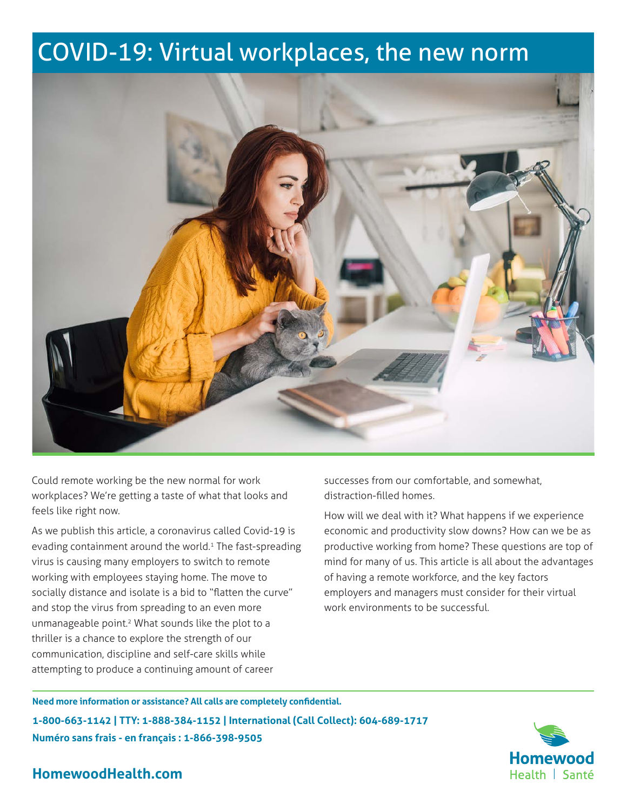# COVID-19: Virtual workplaces, the new norm



Could remote working be the new normal for work workplaces? We're getting a taste of what that looks and feels like right now.

As we publish this article, a coronavirus called Covid-19 is evading containment around the world.<sup>1</sup> The fast-spreading virus is causing many employers to switch to remote working with employees staying home. The move to socially distance and isolate is a bid to "flatten the curve" and stop the virus from spreading to an even more unmanageable point.2 What sounds like the plot to a thriller is a chance to explore the strength of our communication, discipline and self-care skills while attempting to produce a continuing amount of career

successes from our comfortable, and somewhat, distraction-filled homes.

How will we deal with it? What happens if we experience economic and productivity slow downs? How can we be as productive working from home? These questions are top of mind for many of us. This article is all about the advantages of having a remote workforce, and the key factors employers and managers must consider for their virtual work environments to be successful.

**Need more information or assistance? All calls are completely confidential. 1-800-663-1142 | TTY: 1-888-384-1152 | International (Call Collect): 604-689-1717 Numéro sans frais - en français : 1-866-398-9505**

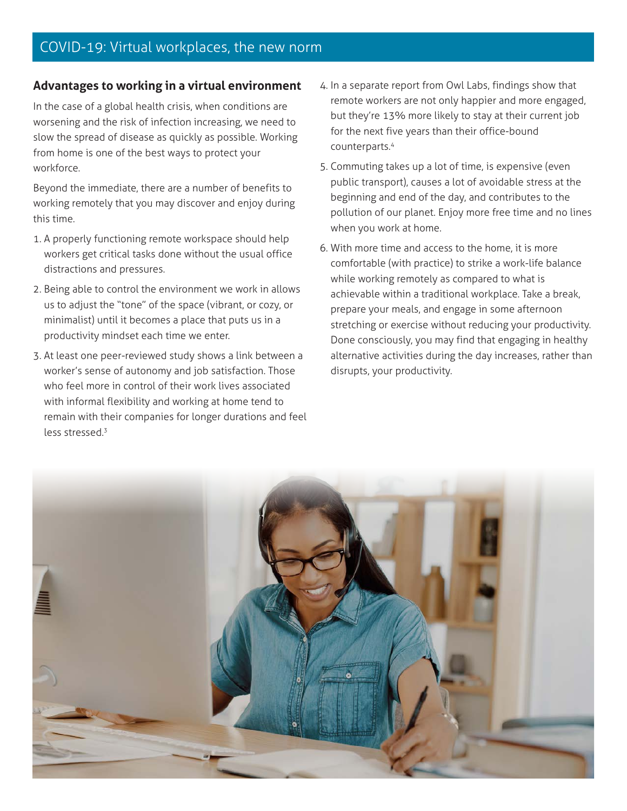### **Advantages to working in a virtual environment**

In the case of a global health crisis, when conditions are worsening and the risk of infection increasing, we need to slow the spread of disease as quickly as possible. Working from home is one of the best ways to protect your workforce.

Beyond the immediate, there are a number of benefits to working remotely that you may discover and enjoy during this time.

- 1. A properly functioning remote workspace should help workers get critical tasks done without the usual office distractions and pressures.
- 2. Being able to control the environment we work in allows us to adjust the "tone" of the space (vibrant, or cozy, or minimalist) until it becomes a place that puts us in a productivity mindset each time we enter.
- 3. At least one peer-reviewed study shows a link between a worker's sense of autonomy and job satisfaction. Those who feel more in control of their work lives associated with informal flexibility and working at home tend to remain with their companies for longer durations and feel less stressed.3
- 4. In a separate report from Owl Labs, findings show that remote workers are not only happier and more engaged, but they're 13% more likely to stay at their current job for the next five years than their office-bound counterparts.4
- 5. Commuting takes up a lot of time, is expensive (even public transport), causes a lot of avoidable stress at the beginning and end of the day, and contributes to the pollution of our planet. Enjoy more free time and no lines when you work at home.
- 6. With more time and access to the home, it is more comfortable (with practice) to strike a work-life balance while working remotely as compared to what is achievable within a traditional workplace. Take a break, prepare your meals, and engage in some afternoon stretching or exercise without reducing your productivity. Done consciously, you may find that engaging in healthy alternative activities during the day increases, rather than disrupts, your productivity.

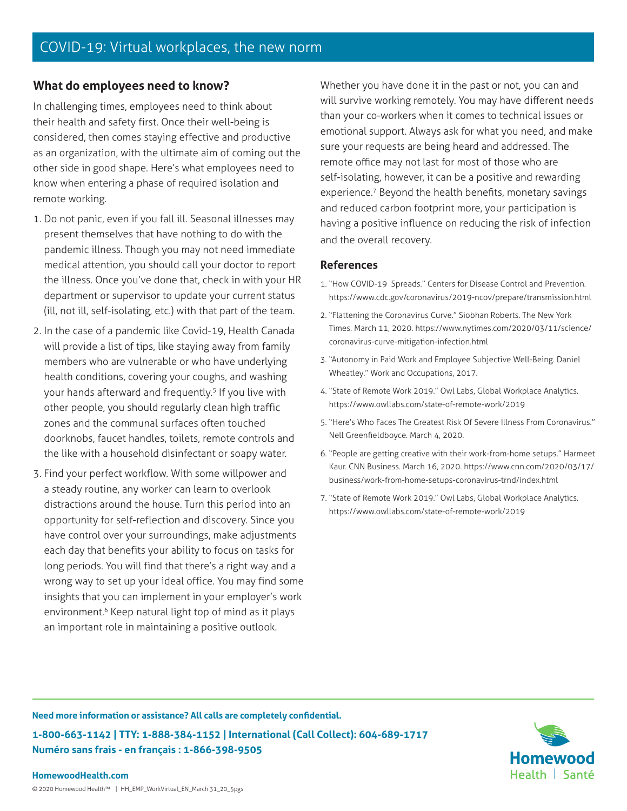### **What do employees need to know?**

In challenging times, employees need to think about their health and safety first. Once their well-being is considered, then comes staying effective and productive as an organization, with the ultimate aim of coming out the other side in good shape. Here's what employees need to know when entering a phase of required isolation and remote working.

- 1. Do not panic, even if you fall ill. Seasonal illnesses may present themselves that have nothing to do with the pandemic illness. Though you may not need immediate medical attention, you should call your doctor to report the illness. Once you've done that, check in with your HR department or supervisor to update your current status (ill, not ill, self-isolating, etc.) with that part of the team.
- 2. In the case of a pandemic like Covid-19, Health Canada will provide a list of tips, like staying away from family members who are vulnerable or who have underlying health conditions, covering your coughs, and washing your hands afterward and frequently.<sup>5</sup> If you live with other people, you should regularly clean high traffic zones and the communal surfaces often touched doorknobs, faucet handles, toilets, remote controls and the like with a household disinfectant or soapy water.
- 3. Find your perfect workflow. With some willpower and a steady routine, any worker can learn to overlook distractions around the house. Turn this period into an opportunity for self-reflection and discovery. Since you have control over your surroundings, make adjustments each day that benefits your ability to focus on tasks for long periods. You will find that there's a right way and a wrong way to set up your ideal office. You may find some insights that you can implement in your employer's work environment.<sup>6</sup> Keep natural light top of mind as it plays an important role in maintaining a positive outlook.

Whether you have done it in the past or not, you can and will survive working remotely. You may have different needs than your co-workers when it comes to technical issues or emotional support. Always ask for what you need, and make sure your requests are being heard and addressed. The remote office may not last for most of those who are self-isolating, however, it can be a positive and rewarding experience.<sup>7</sup> Beyond the health benefits, monetary savings and reduced carbon footprint more, your participation is having a positive influence on reducing the risk of infection and the overall recovery.

### **References**

- 1. "How COVID-19 Spreads." Centers for Disease Control and Prevention. https://www.cdc.gov/coronavirus/2019-ncov/prepare/transmission.html
- 2. "Flattening the Coronavirus Curve." Siobhan Roberts. The New York Times. March 11, 2020. https://www.nytimes.com/2020/03/11/science/ coronavirus-curve-mitigation-infection.html
- 3. "Autonomy in Paid Work and Employee Subjective Well-Being. Daniel Wheatley." Work and Occupations, 2017.
- 4. "State of Remote Work 2019." Owl Labs, Global Workplace Analytics. https://www.owllabs.com/state-of-remote-work/2019
- 5. "Here's Who Faces The Greatest Risk Of Severe Illness From Coronavirus." Nell Greenfieldboyce. March 4, 2020.
- 6. "People are getting creative with their work-from-home setups." Harmeet Kaur. CNN Business. March 16, 2020. https://www.cnn.com/2020/03/17/ business/work-from-home-setups-coronavirus-trnd/index.html
- 7. "State of Remote Work 2019." Owl Labs, Global Workplace Analytics. https://www.owllabs.com/state-of-remote-work/2019

**Need more information or assistance? All calls are completely confidential. 1-800-663-1142 | TTY: 1-888-384-1152 | International (Call Collect): 604-689-1717 Numéro sans frais - en français : 1-866-398-9505**

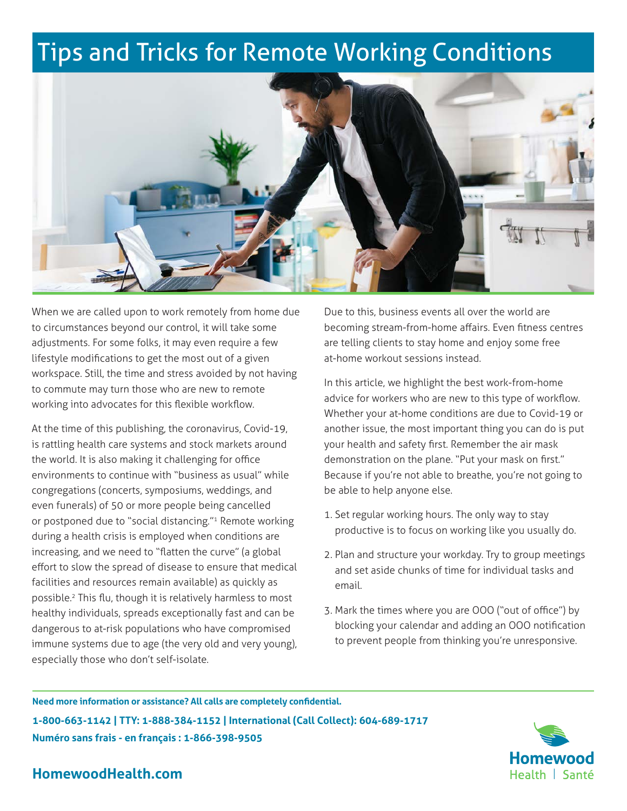# Tips and Tricks for Remote Working Conditions



When we are called upon to work remotely from home due to circumstances beyond our control, it will take some adjustments. For some folks, it may even require a few lifestyle modifications to get the most out of a given workspace. Still, the time and stress avoided by not having to commute may turn those who are new to remote working into advocates for this flexible workflow.

At the time of this publishing, the coronavirus, Covid-19, is rattling health care systems and stock markets around the world. It is also making it challenging for office environments to continue with "business as usual" while congregations (concerts, symposiums, weddings, and even funerals) of 50 or more people being cancelled or postponed due to "social distancing."<sup>1</sup> Remote working during a health crisis is employed when conditions are increasing, and we need to "flatten the curve" (a global effort to slow the spread of disease to ensure that medical facilities and resources remain available) as quickly as possible.2 This flu, though it is relatively harmless to most healthy individuals, spreads exceptionally fast and can be dangerous to at-risk populations who have compromised immune systems due to age (the very old and very young), especially those who don't self-isolate.

Due to this, business events all over the world are becoming stream-from-home affairs. Even fitness centres are telling clients to stay home and enjoy some free at-home workout sessions instead.

In this article, we highlight the best work-from-home advice for workers who are new to this type of workflow. Whether your at-home conditions are due to Covid-19 or another issue, the most important thing you can do is put your health and safety first. Remember the air mask demonstration on the plane. "Put your mask on first." Because if you're not able to breathe, you're not going to be able to help anyone else.

- 1. Set regular working hours. The only way to stay productive is to focus on working like you usually do.
- 2. Plan and structure your workday. Try to group meetings and set aside chunks of time for individual tasks and email.
- 3. Mark the times where you are OOO ("out of office") by blocking your calendar and adding an OOO notification to prevent people from thinking you're unresponsive.

**Need more information or assistance? All calls are completely confidential. 1-800-663-1142 | TTY: 1-888-384-1152 | International (Call Collect): 604-689-1717 Numéro sans frais - en français : 1-866-398-9505**